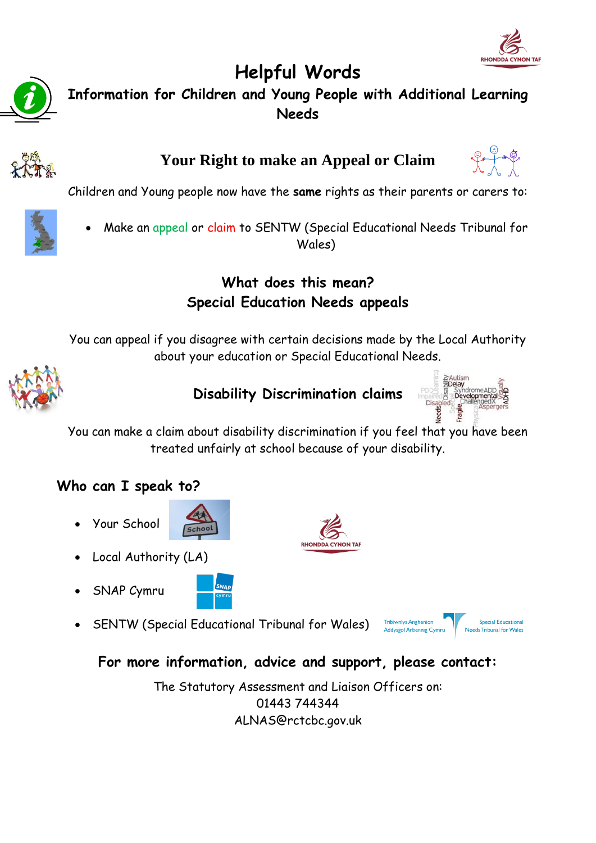



# **Helpful Words Information for Children and Young People with Additional Learning Needs**



# **Your Right to make an Appeal or Claim**



Children and Young people now have the **same** rights as their parents or carers to:



 Make an appeal or claim to SENTW (Special Educational Needs Tribunal for Wales)

#### **What does this mean? Special Education Needs appeals**

You can appeal if you disagree with certain decisions made by the Local Authority about your education or Special Educational Needs.



#### **Disability Discrimination claims**



You can make a claim about disability discrimination if you fee[l that you have be](http://www.google.co.uk/url?sa=i&rct=j&q=special%20needs%20children&source=images&cd=&cad=rja&uact=8&ved=0CAcQjRw&url=http://www.kidsnplay.com/kid-friendly-activities/special-needs-night/&ei=7O2rVILEFsP3UqLjg9AL&bvm=bv.82001339,d.d2s&psig=AFQjCNGi8T-PyURIZT94xh34gPucjYM2WA&ust=14206400)en treated unfairly at school because of your disability.

**RHONDDA CYNON TAP** 

## **Who can I speak to?**

Your School



- Local Authority (LA)
- SNAP Cymru



SENTW (Special Educational Tribunal for Wales)



## **For more information, advice and support, please contact:**

The Statutory Assessment and Liaison Officers on: 01443 744344 ALNAS@rctcbc.gov.uk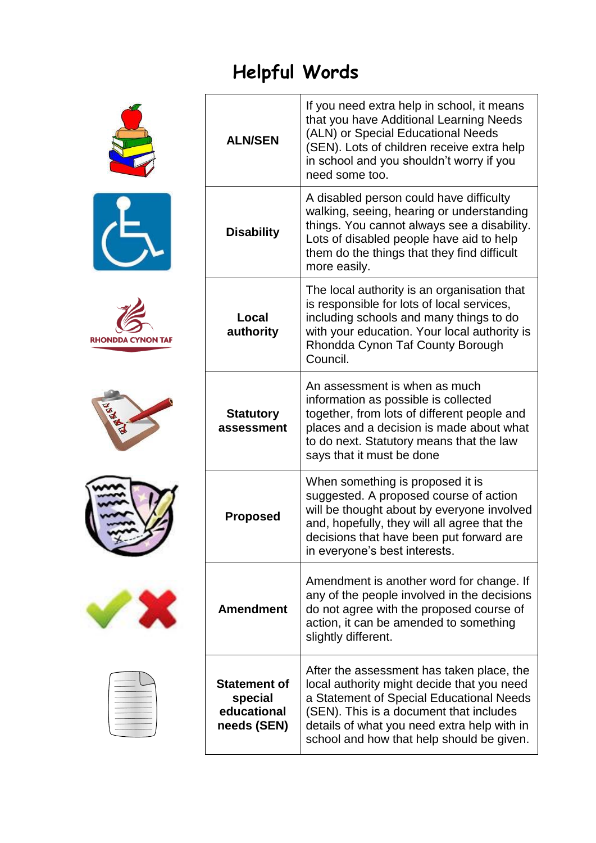# **Helpful Words**











|  | _______ |  |
|--|---------|--|

| <b>ALN/SEN</b>                                               | If you need extra help in school, it means<br>that you have Additional Learning Needs<br>(ALN) or Special Educational Needs<br>(SEN). Lots of children receive extra help<br>in school and you shouldn't worry if you<br>need some too.                                    |
|--------------------------------------------------------------|----------------------------------------------------------------------------------------------------------------------------------------------------------------------------------------------------------------------------------------------------------------------------|
| <b>Disability</b>                                            | A disabled person could have difficulty<br>walking, seeing, hearing or understanding<br>things. You cannot always see a disability.<br>Lots of disabled people have aid to help<br>them do the things that they find difficult<br>more easily.                             |
| Local<br>authority                                           | The local authority is an organisation that<br>is responsible for lots of local services,<br>including schools and many things to do<br>with your education. Your local authority is<br>Rhondda Cynon Taf County Borough<br>Council.                                       |
| <b>Statutory</b><br>assessment                               | An assessment is when as much<br>information as possible is collected<br>together, from lots of different people and<br>places and a decision is made about what<br>to do next. Statutory means that the law<br>says that it must be done                                  |
| <b>Proposed</b>                                              | When something is proposed it is<br>suggested. A proposed course of action<br>will be thought about by everyone involved<br>and, hopefully, they will all agree that the<br>decisions that have been put forward are<br>in everyone's best interests.                      |
| <b>Amendment</b>                                             | Amendment is another word for change. If<br>any of the people involved in the decisions<br>do not agree with the proposed course of<br>action, it can be amended to something<br>slightly different.                                                                       |
| <b>Statement of</b><br>special<br>educational<br>needs (SEN) | After the assessment has taken place, the<br>local authority might decide that you need<br>a Statement of Special Educational Needs<br>(SEN). This is a document that includes<br>details of what you need extra help with in<br>school and how that help should be given. |